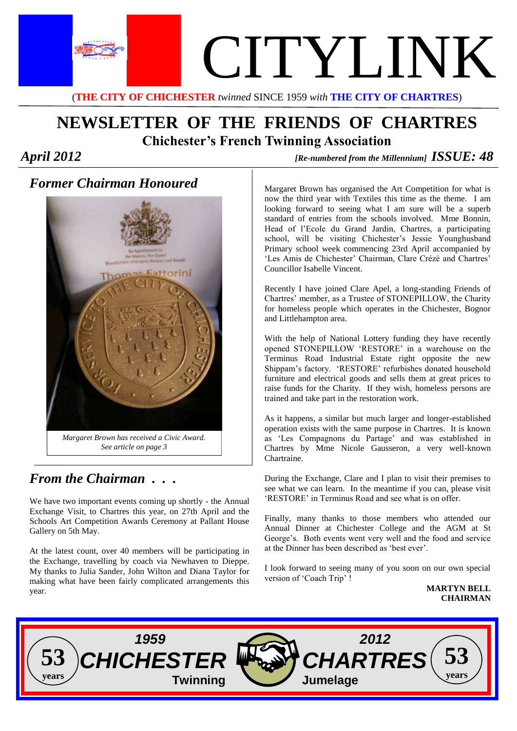

## **NEWSLETTER OF THE FRIENDS OF CHARTRES Chichester's French Twinning Association**

*April 2012 [Re-numbered from the Millennium] ISSUE: 48* 

### *Former Chairman Honoured*



### *From the Chairman . . .*

We have two important events coming up shortly - the Annual Exchange Visit, to Chartres this year, on 27th April and the Schools Art Competition Awards Ceremony at Pallant House Gallery on 5th May.

At the latest count, over 40 members will be participating in the Exchange, travelling by coach via Newhaven to Dieppe. My thanks to Julia Sander, John Wilton and Diana Taylor for making what have been fairly complicated arrangements this year.

Margaret Brown has organised the Art Competition for what is now the third year with Textiles this time as the theme. I am looking forward to seeing what I am sure will be a superb standard of entries from the schools involved. Mme Bonnin, Head of l'Ecole du Grand Jardin, Chartres, a participating school, will be visiting Chichester's Jessie Younghusband Primary school week commencing 23rd April accompanied by 'Les Amis de Chichester' Chairman, Clare Crézé and Chartres' Councillor Isabelle Vincent.

Recently I have joined Clare Apel, a long-standing Friends of Chartres' member, as a Trustee of STONEPILLOW, the Charity for homeless people which operates in the Chichester, Bognor and Littlehampton area.

With the help of National Lottery funding they have recently opened STONEPILLOW 'RESTORE' in a warehouse on the Terminus Road Industrial Estate right opposite the new Shippam's factory. 'RESTORE' refurbishes donated household furniture and electrical goods and sells them at great prices to raise funds for the Charity. If they wish, homeless persons are trained and take part in the restoration work.

As it happens, a similar but much larger and longer-established operation exists with the same purpose in Chartres. It is known as 'Les Compagnons du Partage' and was established in Chartres by Mme Nicole Gausseron, a very well-known Chartraine.

During the Exchange, Clare and I plan to visit their premises to see what we can learn. In the meantime if you can, please visit 'RESTORE' in Terminus Road and see what is on offer.

Finally, many thanks to those members who attended our Annual Dinner at Chichester College and the AGM at St George's. Both events went very well and the food and service at the Dinner has been described as 'best ever'.

I look forward to seeing many of you soon on our own special version of 'Coach Trip' !

**MARTYN BELL CHAIRMAN**

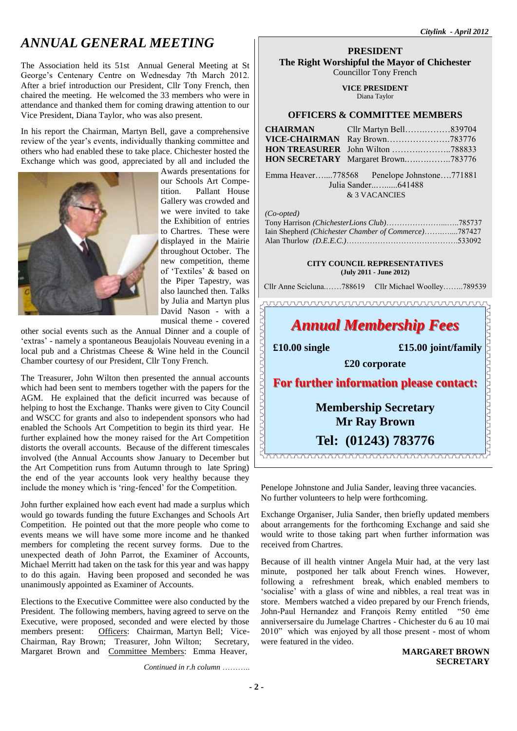The Association held its 51st Annual General Meeting at St George's Centenary Centre on Wednesday 7th March 2012. After a brief introduction our President, Cllr Tony French, then chaired the meeting. He welcomed the 33 members who were in attendance and thanked them for coming drawing attention to our Vice President, Diana Taylor, who was also present.

In his report the Chairman, Martyn Bell, gave a comprehensive review of the year's events, individually thanking committee and others who had enabled these to take place. Chichester hosted the Exchange which was good, appreciated by all and included the



Awards presentations for our Schools Art Competition. Pallant House Gallery was crowded and we were invited to take the Exhibition of entries to Chartres. These were displayed in the Mairie throughout October. The new competition, theme of 'Textiles' & based on the Piper Tapestry, was also launched then. Talks by Julia and Martyn plus David Nason - with a musical theme - covered

other social events such as the Annual Dinner and a couple of 'extras' - namely a spontaneous Beaujolais Nouveau evening in a local pub and a Christmas Cheese & Wine held in the Council Chamber courtesy of our President, Cllr Tony French.

The Treasurer, John Wilton then presented the annual accounts which had been sent to members together with the papers for the AGM. He explained that the deficit incurred was because of helping to host the Exchange. Thanks were given to City Council and WSCC for grants and also to independent sponsors who had enabled the Schools Art Competition to begin its third year. He further explained how the money raised for the Art Competition distorts the overall accounts. Because of the different timescales involved (the Annual Accounts show January to December but the Art Competition runs from Autumn through to late Spring) the end of the year accounts look very healthy because they include the money which is 'ring-fenced' for the Competition.

John further explained how each event had made a surplus which would go towards funding the future Exchanges and Schools Art Competition. He pointed out that the more people who come to events means we will have some more income and he thanked members for completing the recent survey forms. Due to the unexpected death of John Parrot, the Examiner of Accounts, Michael Merritt had taken on the task for this year and was happy to do this again. Having been proposed and seconded he was unanimously appointed as Examiner of Accounts.

Elections to the Executive Committee were also conducted by the President. The following members, having agreed to serve on the Executive, were proposed, seconded and were elected by those members present: Officers: Chairman, Martyn Bell; Vice-Chairman, Ray Brown; Treasurer, John Wilton; Secretary, Margaret Brown and Committee Members: Emma Heaver,

*Continued in r.h column* ………..

#### **PRESIDENT The Right Worshipful the Mayor of Chichester** Councillor Tony French

**VICE PRESIDENT** Diana Taylor

#### **OFFICERS & COMMITTEE MEMBERS**

| Cllr Martyn Bell839704<br>HON SECRETARY Margaret Brown783776 |
|--------------------------------------------------------------|

 Emma Heaver…....778568 Penelope Johnstone….771881 Julia Sander..…......641488 & 3 VACANCIES

*(Co-opted)* 

| Iain Shepherd (Chichester Chamber of Commerce)787427 |  |
|------------------------------------------------------|--|
|                                                      |  |

#### **CITY COUNCIL REPRESENTATIVES (July 2011 - June 2012)**

Cllr Anne Scicluna.……788619 Cllr Michael Woolley……..789539

## $\begin{minipage}{0.5\textwidth} \begin{tabular}{c} \textbf{0.00} \textbf{0.000} \end{tabular} \end{minipage} \begin{minipage}{0.5\textwidth} \begin{tabular}{c} \textbf{0.000} \end{tabular} \end{minipage} \begin{minipage}{0.5\textwidth} \begin{tabular}{c} \textbf{0.000} \end{tabular} \end{minipage} \end{minipage} \begin{minipage}{0.5\textwidth} \begin{tabular}{c} \textbf{0.000} \end{tabular} \end{minipage} \end{minipage} \begin{minipage}{0.5\textwidth} \begin{$ *Annual Membership Fees*

JUUUUUUU

 **£10.00 single £15.00 joint/family** <u> TANAN ANANAN AN</u>

**£20 corporate**

**For further information please contact:**

### **Membership Secretary Mr Ray Brown**

### **Tel: (01243) 783776**

Penelope Johnstone and Julia Sander, leaving three vacancies. No further volunteers to help were forthcoming.

Exchange Organiser, Julia Sander, then briefly updated members about arrangements for the forthcoming Exchange and said she would write to those taking part when further information was received from Chartres.

Because of ill health vintner Angela Muir had, at the very last minute, postponed her talk about French wines. However, following a refreshment break, which enabled members to 'socialise' with a glass of wine and nibbles, a real treat was in store. Members watched a video prepared by our French friends, John-Paul Hernandez and François Remy entitled "50 ème anniversersaire du Jumelage Chartres - Chichester du 6 au 10 mai 2010" which was enjoyed by all those present - most of whom were featured in the video.

#### **MARGARET BROWN SECRETARY**

**- 2 -**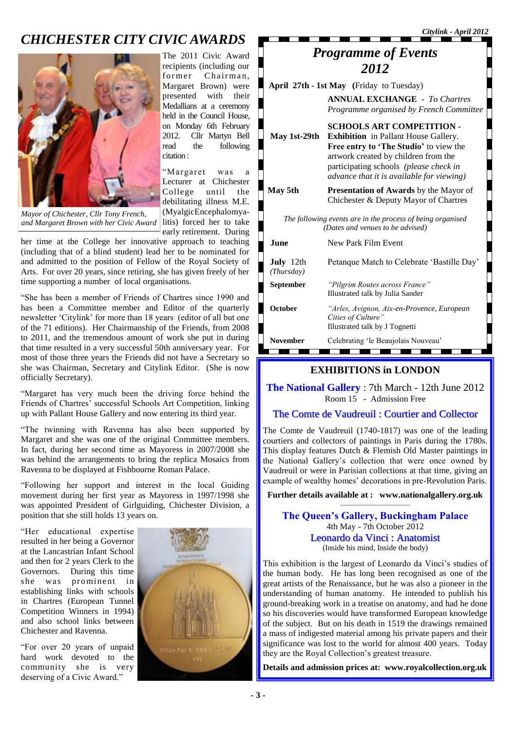### *CHICHESTER CITY CIVIC AWARDS*



The 2011 Civic Award recipients (including our former Chairman, Margaret Brown) were presented with their Medallians at a ceremony held in the Council House, on Monday 6th February 2012. Cllr Martyn Bell read the following citation :

"Margaret was a Lecturer at Chichester College until the debilitating illness M.E. (MyalgicEncephalomyaearly retirement. During

and Margaret Brown with her Civic Award litis) forced her to take *Mayor of Chichester, Cllr Tony French,* 

her time at the College her innovative approach to teaching (including that of a blind student) lead her to be nominated for and admitted to the position of Fellow of the Royal Society of Arts. For over 20 years, since retiring, she has given freely of her time supporting a number of local organisations.

"She has been a member of Friends of Chartres since 1990 and has been a Committee member and Editor of the quarterly newsletter 'Citylink' for more than 18 years (editor of all but one of the 71 editions). Her Chairmanship of the Friends, from 2008 to 2011, and the tremendous amount of work she put in during that time resulted in a very successful 50th anniversary year. For most of those three years the Friends did not have a Secretary so she was Chairman, Secretary and Citylink Editor. (She is now officially Secretary).

"Margaret has very much been the driving force behind the Friends of Chartres' successful Schools Art Competition, linking up with Pallant House Gallery and now entering its third year.

"The twinning with Ravenna has also been supported by Margaret and she was one of the original Committee members. In fact, during her second time as Mayoress in 2007/2008 she was behind the arrangements to bring the replica Mosaics from Ravenna to be displayed at Fishbourne Roman Palace.

"Following her support and interest in the local Guiding movement during her first year as Mayoress in 1997/1998 she was appointed President of Girlguiding, Chichester Division, a position that she still holds 13 years on.

"Her educational expertise resulted in her being a Governor at the Lancastrian Infant School and then for 2 years Clerk to the Governors. During this time<br>she was prominent in was prominent in establishing links with schools in Chartres (European Tunnel Competition Winners in 1994) and also school links between Chichester and Ravenna.

"For over 20 years of unpaid hard work devoted to the community she is very deserving of a Civic Award."



| <b>Programme of Events</b>                                                  |
|-----------------------------------------------------------------------------|
| 2012                                                                        |
| April 27th - 1st May (Friday to Tuesday)                                    |
| <b>ANNUAL EXCHANGE - To Chartres</b><br>Programma organized by Exanch Commi |

*Citylink - April 2012*

|                                                                                                | Programme organised by French Committee                                                                                                                                                                                                                  |  |
|------------------------------------------------------------------------------------------------|----------------------------------------------------------------------------------------------------------------------------------------------------------------------------------------------------------------------------------------------------------|--|
| May 1st-29th                                                                                   | <b>SCHOOLS ART COMPETITION -</b><br><b>Exhibition</b> in Pallant House Gallery.<br>Free entry to 'The Studio' to view the<br>artwork created by children from the<br>participating schools (please check in<br>advance that it is available for viewing) |  |
| May 5th                                                                                        | <b>Presentation of Awards</b> by the Mayor of<br>Chichester & Deputy Mayor of Chartres                                                                                                                                                                   |  |
| The following events are in the process of being organised<br>(Dates and venues to be advised) |                                                                                                                                                                                                                                                          |  |
| June                                                                                           | New Park Film Event                                                                                                                                                                                                                                      |  |
| <b>July</b> 12th<br>(Thursday)                                                                 | Petanque Match to Celebrate 'Bastille Day'                                                                                                                                                                                                               |  |
| <b>September</b>                                                                               | "Pilgrim Routes across France"<br>Illustrated talk by Julia Sander                                                                                                                                                                                       |  |
| <b>October</b>                                                                                 | "Arles, Avignon, Aix-en-Provence, European<br>Cities of Culture"<br>Illustrated talk by J Tognetti                                                                                                                                                       |  |
| <b>November</b>                                                                                | Celebrating 'le Beaujolais Nouveau'                                                                                                                                                                                                                      |  |

#### **EXHIBITIONS in LONDON**

**The National Gallery** : 7th March - 12th June 2012 Room 15 - Admission Free

#### The Comte de Vaudreuil : Courtier and Collector

The Comte de Vaudreuil (1740-1817) was one of the leading courtiers and collectors of paintings in Paris during the 1780s. This display features Dutch & Flemish Old Master paintings in the National Gallery's collection that were once owned by Vaudreuil or were in Parisian collections at that time, giving an example of wealthy homes' decorations in pre-Revolution Paris.

**Further details available at : www.nationalgallery.org.uk** ————————

**The Queen's Gallery, Buckingham Palace** 4th May - 7th October 2012 Leonardo da Vinci : Anatomist (Inside his mind, Inside the body)

This exhibition is the largest of Leonardo da Vinci's studies of the human body. He has long been recognised as one of the great artists of the Renaissance, but he was also a pioneer in the understanding of human anatomy. He intended to publish his ground-breaking work in a treatise on anatomy, and had he done so his discoveries would have transformed European knowledge of the subject. But on his death in 1519 the drawings remained a mass of indigested material among his private papers and their significance was lost to the world for almost 400 years. Today they are the Royal Collection's greatest treasure.

**Details and admission prices at: www.royalcollection.org.uk**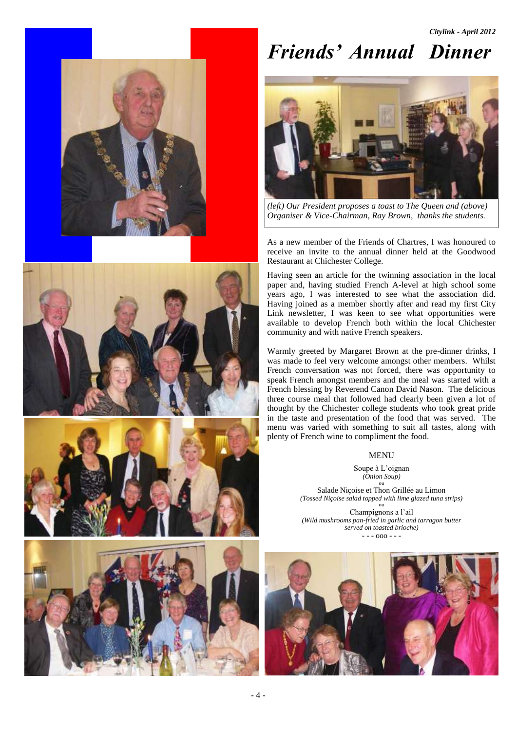*Citylink - April 2012*









# *Friends' Annual Dinner - Goodwood Training Restaurant, Chichester College*



*(left) Our President proposes a toast to The Queen and (above) Organiser & Vice-Chairman, Ray Brown, thanks the students.*

As a new member of the Friends of Chartres, I was honoured to receive an invite to the annual dinner held at the Goodwood Restaurant at Chichester College.

Having seen an article for the twinning association in the local paper and, having studied French A-level at high school some years ago, I was interested to see what the association did. Having joined as a member shortly after and read my first City Link newsletter, I was keen to see what opportunities were available to develop French both within the local Chichester community and with native French speakers.

Warmly greeted by Margaret Brown at the pre-dinner drinks, I was made to feel very welcome amongst other members. Whilst French conversation was not forced, there was opportunity to speak French amongst members and the meal was started with a French blessing by Reverend Canon David Nason. The delicious three course meal that followed had clearly been given a lot of thought by the Chichester college students who took great pride in the taste and presentation of the food that was served. The menu was varied with something to suit all tastes, along with plenty of French wine to compliment the food.

#### MENU

Soupe à L'oignan *(Onion Soup)* ou Salade Niçoise et Thon Grillée au Limon *(Tossed Niçoise salad topped with lime glazed tuna strips)* ou Champignons a l'ail

*(Wild mushrooms pan-fried in garlic and tarragon butter served on toasted brioche)*  $-000 -$ 

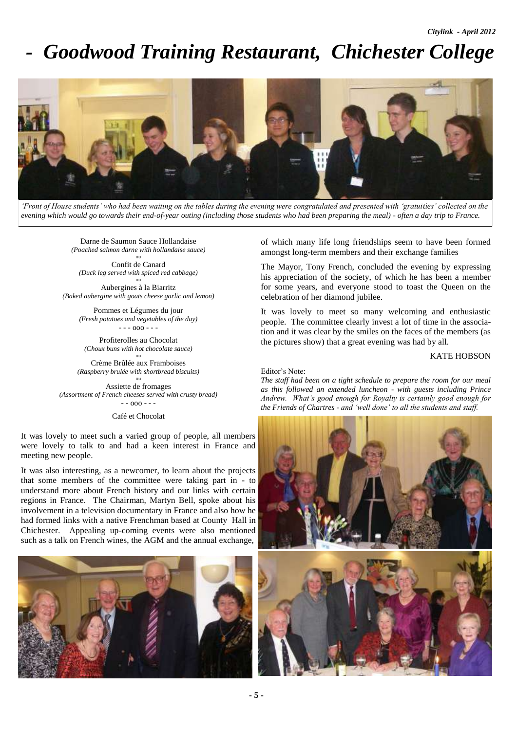## *Goodwood Training Restaurant, Chichester College*



*'Front of House students' who had been waiting on the tables during the evening were congratulated and presented with 'gratuities' collected on the evening which would go towards their end-of-year outing (including those students who had been preparing the meal) - often a day trip to France.* 

Darne de Saumon Sauce Hollandaise *(Poached salmon darne with hollandaise sauce)* ou

Confit de Canard *(Duck leg served with spiced red cabbage)* ou

Aubergines à la Biarritz *(Baked aubergine with goats cheese garlic and lemon)*

> Pommes et Légumes du jour *(Fresh potatoes and vegetables of the day)*  $- - 000 - -$

Profiterolles au Chocolat *(Choux buns with hot chocolate sauce)* ou

Crème Brûlée aux Framboises *(Raspberry brulée with shortbread biscuits)* ou

Assiette de fromages *(Assortment of French cheeses served with crusty bread)*  $- - 000 - -$ 

Café et Chocolat

It was lovely to meet such a varied group of people, all members were lovely to talk to and had a keen interest in France and meeting new people.

It was also interesting, as a newcomer, to learn about the projects that some members of the committee were taking part in - to understand more about French history and our links with certain regions in France. The Chairman, Martyn Bell, spoke about his involvement in a television documentary in France and also how he had formed links with a native Frenchman based at County Hall in Chichester. Appealing up-coming events were also mentioned such as a talk on French wines, the AGM and the annual exchange,



of which many life long friendships seem to have been formed amongst long-term members and their exchange families

The Mayor, Tony French, concluded the evening by expressing his appreciation of the society, of which he has been a member for some years, and everyone stood to toast the Queen on the celebration of her diamond jubilee.

It was lovely to meet so many welcoming and enthusiastic people. The committee clearly invest a lot of time in the association and it was clear by the smiles on the faces of the members (as the pictures show) that a great evening was had by all.

#### KATE HOBSON

#### Editor's Note:

*The staff had been on a tight schedule to prepare the room for our meal as this followed an extended luncheon - with guests including Prince Andrew. What's good enough for Royalty is certainly good enough for the Friends of Chartres - and 'well done' to all the students and staff.*



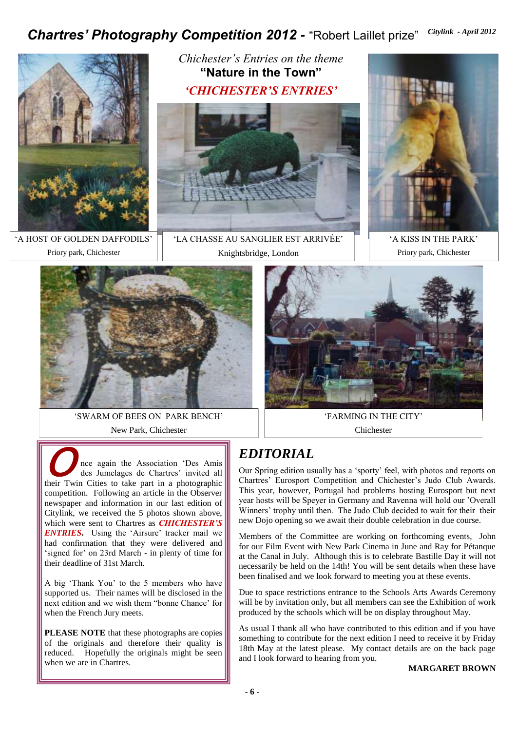## Chartres' Photography Competition 2012 - "Robert Laillet prize" Citylink - April 2012



'A HOST OF GOLDEN DAFFODILS' Priory park, Chichester

*Chichester's Entries on the theme*  **"Nature in the Town"** *'CHICHESTER'S ENTRIES'*



'LA CHASSE AU SANGLIER EST ARRIVÉE' Knightsbridge, London



'A KISS IN THE PARK' Priory park, Chichester



'SWARM OF BEES ON PARK BENCH' New Park, Chichester



'FARMING IN THE CITY' Chichester

### *EDITORIAL*

Our Spring edition usually has a 'sporty' feel, with photos and reports on Chartres' Eurosport Competition and Chichester's Judo Club Awards. This year, however, Portugal had problems hosting Eurosport but next year hosts will be Speyer in Germany and Ravenna will hold our 'Overall Winners' trophy until then. The Judo Club decided to wait for their their new Dojo opening so we await their double celebration in due course.

Members of the Committee are working on forthcoming events, John for our Film Event with New Park Cinema in June and Ray for Pétanque at the Canal in July. Although this is to celebrate Bastille Day it will not necessarily be held on the 14th! You will be sent details when these have been finalised and we look forward to meeting you at these events.

Due to space restrictions entrance to the Schools Arts Awards Ceremony will be by invitation only, but all members can see the Exhibition of work produced by the schools which will be on display throughout May.

As usual I thank all who have contributed to this edition and if you have something to contribute for the next edition I need to receive it by Friday 18th May at the latest please. My contact details are on the back page and I look forward to hearing from you.

**MARGARET BROWN**

 $\sum_{d}$ nce again the Association 'Des Amis des Jumelages de Chartres' invited all their Twin Cities to take part in a photographic competition. Following an article in the Observer newspaper and information in our last edition of Citylink, we received the 5 photos shown above, which were sent to Chartres as *CHICHESTER'S ENTRIES*. Using the 'Airsure' tracker mail we had confirmation that they were delivered and 'signed for' on 23rd March - in plenty of time for their deadline of 31st March.

A big 'Thank You' to the 5 members who have supported us. Their names will be disclosed in the next edition and we wish them "bonne Chance' for when the French Jury meets.

**PLEASE NOTE** that these photographs are copies of the originals and therefore their quality is reduced. Hopefully the originals might be seen when we are in Chartres.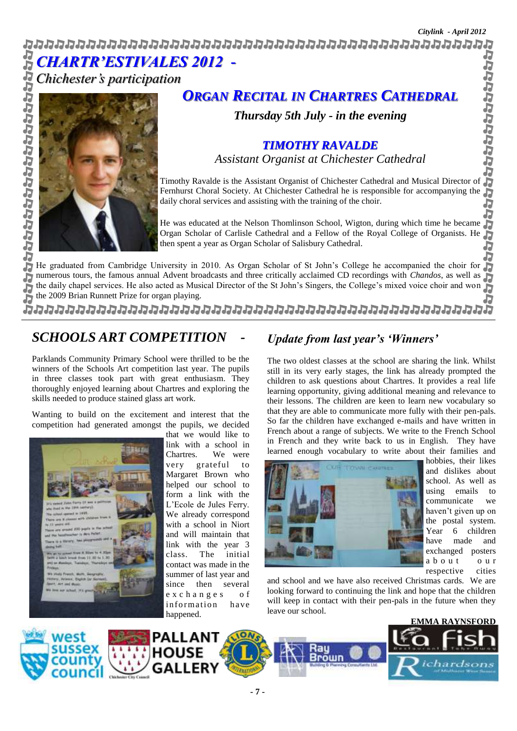Ĵ.

b

りっしょうけいせん *CHARTR'ESTIVALES 2012 -* 

*Chichester's participation*



### *ORGAN RECITAL IN CHARTRES CATHEDRAL*

*Thursday 5th July - in the evening* 

### *TIMOTHY RAVALDE Assistant Organist at Chichester Cathedral*

Ď Timothy Ravalde is the Assistant Organist of Chichester Cathedral and Musical Director of Fernhurst Choral Society. At Chichester Cathedral he is responsible for accompanying the J daily choral services and assisting with the training of the choir.

Đ He was educated at the Nelson Thomlinson School, Wigton, during which time he became Ð Organ Scholar of Carlisle Cathedral and a Fellow of the Royal College of Organists. He then spent a year as Organ Scholar of Salisbury Cathedral.

He graduated from Cambridge University in 2010. As Organ Scholar of St John's College he accompanied the choir for He graduated from Cambridge University in 2010. As Organ Scholar of St John's College he accompanied the choir for<br>numerous tours, the famous annual Advent broadcasts and three critically acclaimed CD recordings with *Chan* the daily chapel services. He also acted as Musical Director of the St John's Singers, the College's mixed voice choir and won J. the 2009 Brian Runnett Prize for organ playing. J.

מממממממממממממממממממממממממממממממממממ

### *SCHOOLS ART COMPETITION -*

Parklands Community Primary School were thrilled to be the winners of the Schools Art competition last year. The pupils in three classes took part with great enthusiasm. They thoroughly enjoyed learning about Chartres and exploring the skills needed to produce stained glass art work.

Wanting to build on the excitement and interest that the competition had generated amongst the pupils, we decided



that we would like to link with a school in Chartres. We were very grateful to Margaret Brown who helped our school to form a link with the L'Ecole de Jules Ferry. We already correspond with a school in Niort and will maintain that link with the year 3 class. The initial contact was made in the summer of last year and since then several e x c h a n g e s o f information have happened.

### *Update from last year's 'Winners'*

The two oldest classes at the school are sharing the link. Whilst still in its very early stages, the link has already prompted the children to ask questions about Chartres. It provides a real life learning opportunity, giving additional meaning and relevance to their lessons. The children are keen to learn new vocabulary so that they are able to communicate more fully with their pen-pals. So far the children have exchanged e-mails and have written in French about a range of subjects. We write to the French School in French and they write back to us in English. They have learned enough vocabulary to write about their families and



hobbies, their likes and dislikes about school. As well as using emails to communicate we haven't given up on the postal system. Year 6 children have made and exchanged posters a b o u t o u r respective cities

and school and we have also received Christmas cards. We are looking forward to continuing the link and hope that the children will keep in contact with their pen-pals in the future when they leave our school.